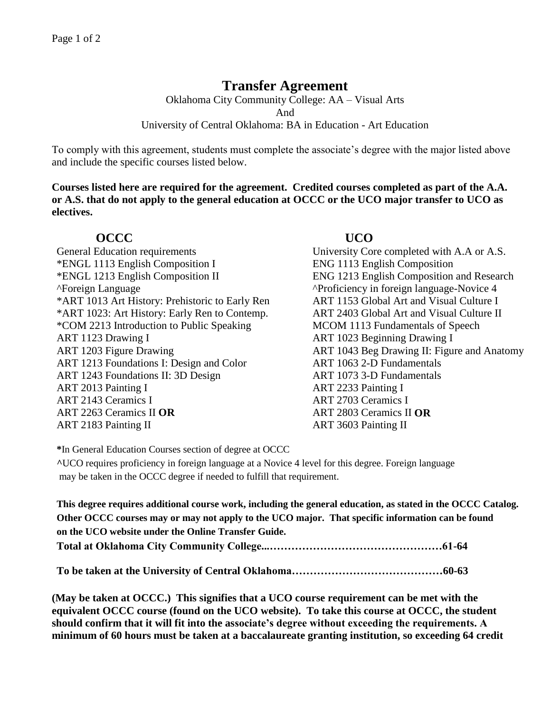# **Transfer Agreement**

Oklahoma City Community College: AA – Visual Arts And University of Central Oklahoma: BA in Education - Art Education

To comply with this agreement, students must complete the associate's degree with the major listed above and include the specific courses listed below.

**Courses listed here are required for the agreement. Credited courses completed as part of the A.A. or A.S. that do not apply to the general education at OCCC or the UCO major transfer to UCO as electives.**

## **OCCC UCO**

General Education requirements University Core completed with A.A or A.S. \*ENGL 1113 English Composition I ENG 1113 English Composition \*ENGL 1213 English Composition II ENG 1213 English Composition and Research ^Foreign Language ^Proficiency in foreign language-Novice 4 \*ART 1013 Art History: Prehistoric to Early Ren ART 1153 Global Art and Visual Culture I \*ART 1023: Art History: Early Ren to Contemp. ART 2403 Global Art and Visual Culture II \*COM 2213 Introduction to Public Speaking MCOM 1113 Fundamentals of Speech ART 1123 Drawing I ART 1023 Beginning Drawing I ART 1203 Figure Drawing **ART 1043** Beg Drawing II: Figure and Anatomy ART 1213 Foundations I: Design and Color ART 1063 2-D Fundamentals ART 1243 Foundations II: 3D Design ART 1073 3-D Fundamentals ART 2013 Painting I ART 2233 Painting I ART 2143 Ceramics I ART 2263 Ceramics II **OR** ART 2183 Painting II

ART 2703 Ceramics I ART 2803 Ceramics II **OR** ART 3603 Painting II

**\***In General Education Courses section of degree at OCCC

**^**UCO requires proficiency in foreign language at a Novice 4 level for this degree. Foreign language may be taken in the OCCC degree if needed to fulfill that requirement.

**This degree requires additional course work, including the general education, as stated in the OCCC Catalog. Other OCCC courses may or may not apply to the UCO major. That specific information can be found on the UCO website under the Online Transfer Guide. Total at Oklahoma City Community College...…………………………………………61-64**

**To be taken at the University of Central Oklahoma……………………………………60-63**

**(May be taken at OCCC.) This signifies that a UCO course requirement can be met with the equivalent OCCC course (found on the UCO website). To take this course at OCCC, the student should confirm that it will fit into the associate's degree without exceeding the requirements. A minimum of 60 hours must be taken at a baccalaureate granting institution, so exceeding 64 credit**